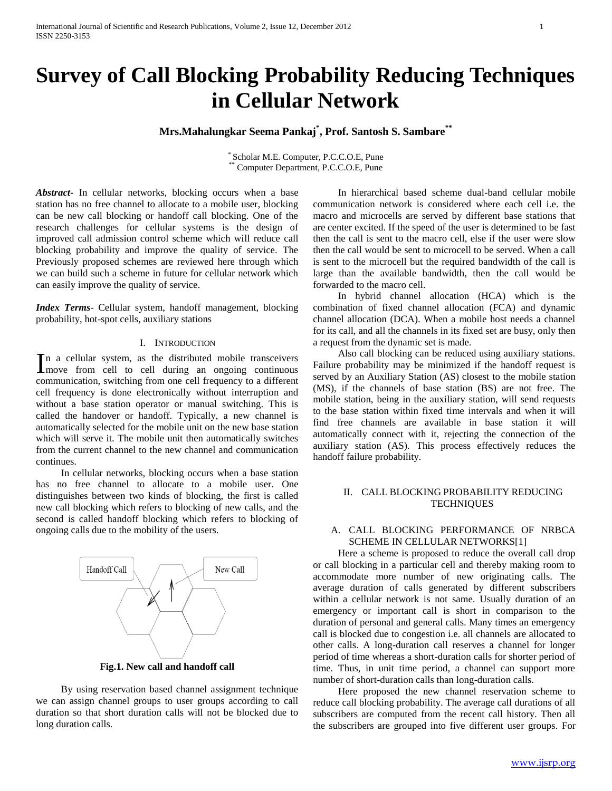# **Survey of Call Blocking Probability Reducing Techniques in Cellular Network**

## **Mrs.Mahalungkar Seema Pankaj \* , Prof. Santosh S. Sambare\*\***

\* Scholar M.E. Computer, P.C.C.O.E, Pune Computer Department, P.C.C.O.E, Pune

*Abstract***-** In cellular networks, blocking occurs when a base station has no free channel to allocate to a mobile user, blocking can be new call blocking or handoff call blocking. One of the research challenges for cellular systems is the design of improved call admission control scheme which will reduce call blocking probability and improve the quality of service. The Previously proposed schemes are reviewed here through which we can build such a scheme in future for cellular network which can easily improve the quality of service.

*Index Terms*- Cellular system, handoff management, blocking probability, hot-spot cells, auxiliary stations

#### I. INTRODUCTION

In a cellular system, as the distributed mobile transceivers<br>
move from cell to cell during an ongoing continuous **I** move from cell to cell during an ongoing continuous communication, switching from one cell frequency to a different cell frequency is done electronically without interruption and without a base station operator or manual switching. This is called the handover or handoff. Typically, a new channel is automatically selected for the mobile unit on the new base station which will serve it. The mobile unit then automatically switches from the current channel to the new channel and communication continues.

 In cellular networks, blocking occurs when a base station has no free channel to allocate to a mobile user. One distinguishes between two kinds of blocking, the first is called new call blocking which refers to blocking of new calls, and the second is called handoff blocking which refers to blocking of ongoing calls due to the mobility of the users.



**Fig.1. New call and handoff call**

 By using reservation based channel assignment technique we can assign channel groups to user groups according to call duration so that short duration calls will not be blocked due to long duration calls.

 In hierarchical based scheme dual-band cellular mobile communication network is considered where each cell i.e. the macro and microcells are served by different base stations that are center excited. If the speed of the user is determined to be fast then the call is sent to the macro cell, else if the user were slow then the call would be sent to microcell to be served. When a call is sent to the microcell but the required bandwidth of the call is large than the available bandwidth, then the call would be forwarded to the macro cell.

 In hybrid channel allocation (HCA) which is the combination of fixed channel allocation (FCA) and dynamic channel allocation (DCA). When a mobile host needs a channel for its call, and all the channels in its fixed set are busy, only then a request from the dynamic set is made.

 Also call blocking can be reduced using auxiliary stations. Failure probability may be minimized if the handoff request is served by an Auxiliary Station (AS) closest to the mobile station (MS), if the channels of base station (BS) are not free. The mobile station, being in the auxiliary station, will send requests to the base station within fixed time intervals and when it will find free channels are available in base station it will automatically connect with it, rejecting the connection of the auxiliary station (AS). This process effectively reduces the handoff failure probability.

## II. CALL BLOCKING PROBABILITY REDUCING **TECHNIQUES**

## A. CALL BLOCKING PERFORMANCE OF NRBCA SCHEME IN CELLULAR NETWORKS[1]

 Here a scheme is proposed to reduce the overall call drop or call blocking in a particular cell and thereby making room to accommodate more number of new originating calls. The average duration of calls generated by different subscribers within a cellular network is not same. Usually duration of an emergency or important call is short in comparison to the duration of personal and general calls. Many times an emergency call is blocked due to congestion i.e. all channels are allocated to other calls. A long-duration call reserves a channel for longer period of time whereas a short-duration calls for shorter period of time. Thus, in unit time period, a channel can support more number of short-duration calls than long-duration calls.

 Here proposed the new channel reservation scheme to reduce call blocking probability. The average call durations of all subscribers are computed from the recent call history. Then all the subscribers are grouped into five different user groups. For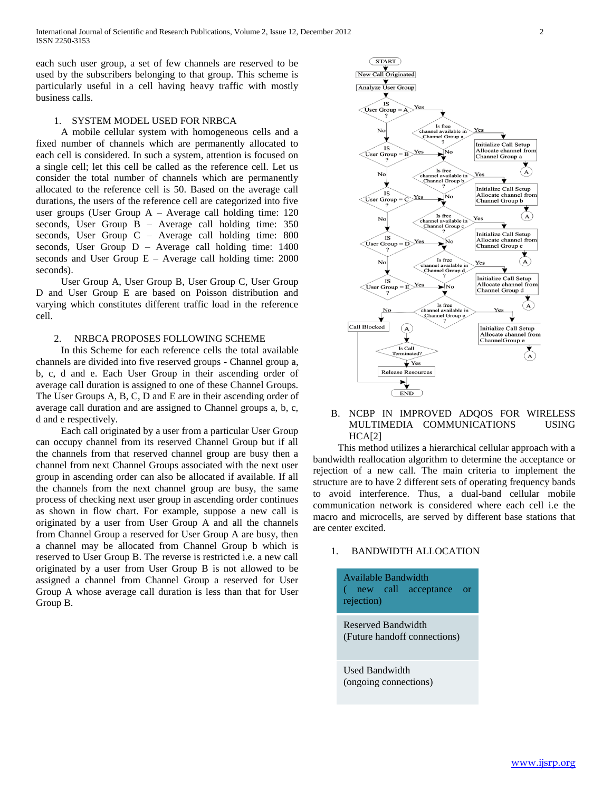each such user group, a set of few channels are reserved to be used by the subscribers belonging to that group. This scheme is particularly useful in a cell having heavy traffic with mostly business calls.

#### 1. SYSTEM MODEL USED FOR NRBCA

 A mobile cellular system with homogeneous cells and a fixed number of channels which are permanently allocated to each cell is considered. In such a system, attention is focused on a single cell; let this cell be called as the reference cell. Let us consider the total number of channels which are permanently allocated to the reference cell is 50. Based on the average call durations, the users of the reference cell are categorized into five user groups (User Group A – Average call holding time: 120 seconds, User Group B – Average call holding time: 350 seconds, User Group C – Average call holding time: 800 seconds, User Group D – Average call holding time: 1400 seconds and User Group E – Average call holding time: 2000 seconds).

 User Group A, User Group B, User Group C, User Group D and User Group E are based on Poisson distribution and varying which constitutes different traffic load in the reference cell.

#### 2. NRBCA PROPOSES FOLLOWING SCHEME

 In this Scheme for each reference cells the total available channels are divided into five reserved groups - Channel group a, b, c, d and e. Each User Group in their ascending order of average call duration is assigned to one of these Channel Groups. The User Groups A, B, C, D and E are in their ascending order of average call duration and are assigned to Channel groups a, b, c, d and e respectively.

 Each call originated by a user from a particular User Group can occupy channel from its reserved Channel Group but if all the channels from that reserved channel group are busy then a channel from next Channel Groups associated with the next user group in ascending order can also be allocated if available. If all the channels from the next channel group are busy, the same process of checking next user group in ascending order continues as shown in flow chart. For example, suppose a new call is originated by a user from User Group A and all the channels from Channel Group a reserved for User Group A are busy, then a channel may be allocated from Channel Group b which is reserved to User Group B. The reverse is restricted i.e. a new call originated by a user from User Group B is not allowed to be assigned a channel from Channel Group a reserved for User Group A whose average call duration is less than that for User Group B.



## B. NCBP IN IMPROVED ADQOS FOR WIRELESS MULTIMEDIA COMMUNICATIONS USING  $HCAI21$

 This method utilizes a hierarchical cellular approach with a bandwidth reallocation algorithm to determine the acceptance or rejection of a new call. The main criteria to implement the structure are to have 2 different sets of operating frequency bands to avoid interference. Thus, a dual-band cellular mobile communication network is considered where each cell i.e the macro and microcells, are served by different base stations that are center excited.

#### 1. BANDWIDTH ALLOCATION

Available Bandwidth ( new call acceptance or rejection)

Reserved Bandwidth (Future handoff connections)

Used Bandwidth (ongoing connections)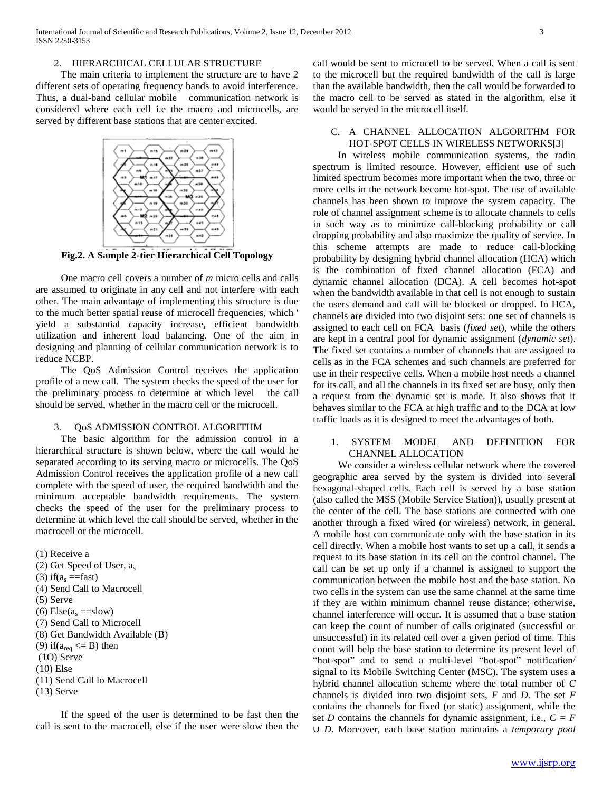## 2. HIERARCHICAL CELLULAR STRUCTURE

 The main criteria to implement the structure are to have 2 different sets of operating frequency bands to avoid interference. Thus, a dual-band cellular mobile communication network is considered where each cell i.e the macro and microcells, are served by different base stations that are center excited.



**Fig.2. A Sample 2-tier Hierarchical Cell Topology**

 One macro cell covers a number of *m* micro cells and calls are assumed to originate in any cell and not interfere with each other. The main advantage of implementing this structure is due to the much better spatial reuse of microcell frequencies, which ' yield a substantial capacity increase, efficient bandwidth utilization and inherent load balancing. One of the aim in designing and planning of cellular communication network is to reduce NCBP.

 The QoS Admission Control receives the application profile of a new call. The system checks the speed of the user for the preliminary process to determine at which level the call should be served, whether in the macro cell or the microcell.

## 3. QoS ADMISSION CONTROL ALGORITHM

 The basic algorithm for the admission control in a hierarchical structure is shown below, where the call would he separated according to its serving macro or microcells. The QoS Admission Control receives the application profile of a new call complete with the speed of user, the required bandwidth and the minimum acceptable bandwidth requirements. The system checks the speed of the user for the preliminary process to determine at which level the call should be served, whether in the macrocell or the microcell.

(1) Receive a (2) Get Speed of User, a<sup>s</sup> (3) if( $a_s =$ fast) (4) Send Call to Macrocell (5) Serve (6)  $Else(a_s == slow)$ (7) Send Call to Microcell (8) Get Bandwidth Available (B) (9) if( $a_{\text{req}} \leq B$ ) then (1O) Serve (10) Else (11) Send Call lo Macrocell (13) Serve

 If the speed of the user is determined to be fast then the call is sent to the macrocell, else if the user were slow then the call would be sent to microcell to be served. When a call is sent to the microcell but the required bandwidth of the call is large than the available bandwidth, then the call would be forwarded to the macro cell to be served as stated in the algorithm, else it would be served in the microcell itself.

## C. A CHANNEL ALLOCATION ALGORITHM FOR HOT-SPOT CELLS IN WIRELESS NETWORKS[3]

 In wireless mobile communication systems, the radio spectrum is limited resource. However, efficient use of such limited spectrum becomes more important when the two, three or more cells in the network become hot-spot. The use of available channels has been shown to improve the system capacity. The role of channel assignment scheme is to allocate channels to cells in such way as to minimize call-blocking probability or call dropping probability and also maximize the quality of service. In this scheme attempts are made to reduce call-blocking probability by designing hybrid channel allocation (HCA) which is the combination of fixed channel allocation (FCA) and dynamic channel allocation (DCA). A cell becomes hot-spot when the bandwidth available in that cell is not enough to sustain the users demand and call will be blocked or dropped. In HCA, channels are divided into two disjoint sets: one set of channels is assigned to each cell on FCA basis (*fixed set*), while the others are kept in a central pool for dynamic assignment (*dynamic set*). The fixed set contains a number of channels that are assigned to cells as in the FCA schemes and such channels are preferred for use in their respective cells. When a mobile host needs a channel for its call, and all the channels in its fixed set are busy, only then a request from the dynamic set is made. It also shows that it behaves similar to the FCA at high traffic and to the DCA at low traffic loads as it is designed to meet the advantages of both.

## 1. SYSTEM MODEL AND DEFINITION FOR CHANNEL ALLOCATION

 We consider a wireless cellular network where the covered geographic area served by the system is divided into several hexagonal-shaped cells. Each cell is served by a base station (also called the MSS (Mobile Service Station)), usually present at the center of the cell. The base stations are connected with one another through a fixed wired (or wireless) network, in general. A mobile host can communicate only with the base station in its cell directly. When a mobile host wants to set up a call, it sends a request to its base station in its cell on the control channel. The call can be set up only if a channel is assigned to support the communication between the mobile host and the base station. No two cells in the system can use the same channel at the same time if they are within minimum channel reuse distance; otherwise, channel interference will occur. It is assumed that a base station can keep the count of number of calls originated (successful or unsuccessful) in its related cell over a given period of time. This count will help the base station to determine its present level of "hot-spot" and to send a multi-level "hot-spot" notification/ signal to its Mobile Switching Center (MSC). The system uses a hybrid channel allocation scheme where the total number of *C*  channels is divided into two disjoint sets, *F* and *D*. The set *F*  contains the channels for fixed (or static) assignment, while the set *D* contains the channels for dynamic assignment, i.e.,  $C = F$ ∪ *D*. Moreover, each base station maintains a *temporary pool*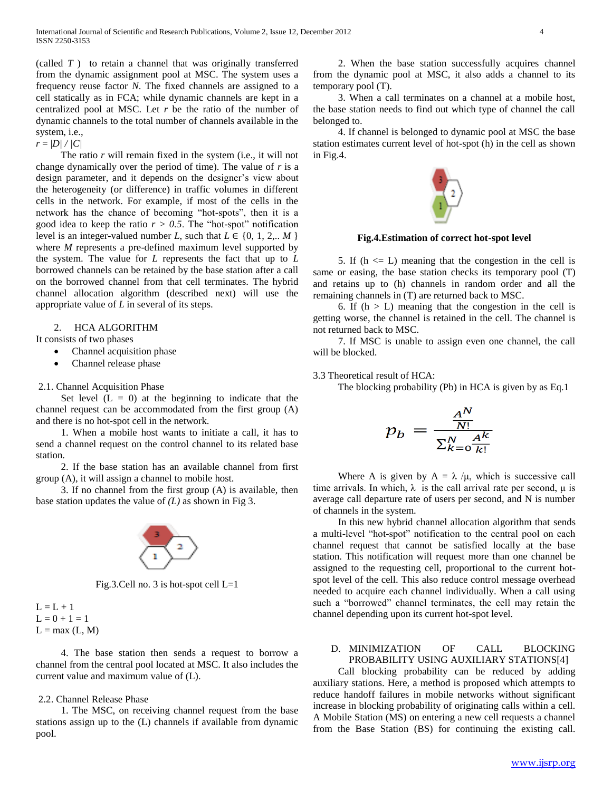(called *T* ) to retain a channel that was originally transferred from the dynamic assignment pool at MSC. The system uses a frequency reuse factor *N*. The fixed channels are assigned to a cell statically as in FCA; while dynamic channels are kept in a centralized pool at MSC. Let *r* be the ratio of the number of dynamic channels to the total number of channels available in the system, i.e.,

 $r = |D| / |C|$ 

 The ratio *r* will remain fixed in the system (i.e., it will not change dynamically over the period of time). The value of *r* is a design parameter, and it depends on the designer's view about the heterogeneity (or difference) in traffic volumes in different cells in the network. For example, if most of the cells in the network has the chance of becoming "hot-spots", then it is a good idea to keep the ratio  $r > 0.5$ . The "hot-spot" notification level is an integer-valued number *L*, such that  $L \in \{0, 1, 2, ... M\}$ where *M* represents a pre-defined maximum level supported by the system. The value for *L* represents the fact that up to *L*  borrowed channels can be retained by the base station after a call on the borrowed channel from that cell terminates. The hybrid channel allocation algorithm (described next) will use the appropriate value of *L* in several of its steps.

#### 2. HCA ALGORITHM

It consists of two phases

- Channel acquisition phase
- Channel release phase

#### 2.1. Channel Acquisition Phase

Set level  $(L = 0)$  at the beginning to indicate that the channel request can be accommodated from the first group (A) and there is no hot-spot cell in the network.

 1. When a mobile host wants to initiate a call, it has to send a channel request on the control channel to its related base station.

 2. If the base station has an available channel from first group (A), it will assign a channel to mobile host.

 3. If no channel from the first group (A) is available, then base station updates the value of *(L)* as shown in Fig 3.



Fig.3.Cell no. 3 is hot-spot cell L=1



 4. The base station then sends a request to borrow a channel from the central pool located at MSC. It also includes the current value and maximum value of (L).

## 2.2. Channel Release Phase

 1. The MSC, on receiving channel request from the base stations assign up to the (L) channels if available from dynamic pool.

 2. When the base station successfully acquires channel from the dynamic pool at MSC, it also adds a channel to its temporary pool (T).

 3. When a call terminates on a channel at a mobile host, the base station needs to find out which type of channel the call belonged to.

 4. If channel is belonged to dynamic pool at MSC the base station estimates current level of hot-spot (h) in the cell as shown in Fig.4.



**Fig.4.Estimation of correct hot-spot level**

5. If  $(h \le L)$  meaning that the congestion in the cell is same or easing, the base station checks its temporary pool (T) and retains up to (h) channels in random order and all the remaining channels in (T) are returned back to MSC.

6. If  $(h > L)$  meaning that the congestion in the cell is getting worse, the channel is retained in the cell. The channel is not returned back to MSC.

 7. If MSC is unable to assign even one channel, the call will be blocked.

3.3 Theoretical result of HCA:

The blocking probability (Pb) in HCA is given by as Eq.1

$$
p_b = \frac{\frac{A^N}{N!}}{\sum_{k=0}^N \frac{A^k}{k!}}
$$

Where A is given by  $A = \lambda / \mu$ , which is successive call time arrivals. In which,  $\lambda$  is the call arrival rate per second,  $\mu$  is average call departure rate of users per second, and N is number of channels in the system.

 In this new hybrid channel allocation algorithm that sends a multi-level "hot-spot" notification to the central pool on each channel request that cannot be satisfied locally at the base station. This notification will request more than one channel be assigned to the requesting cell, proportional to the current hotspot level of the cell. This also reduce control message overhead needed to acquire each channel individually. When a call using such a "borrowed" channel terminates, the cell may retain the channel depending upon its current hot-spot level.

## D. MINIMIZATION OF CALL BLOCKING PROBABILITY USING AUXILIARY STATIONS[4]

 Call blocking probability can be reduced by adding auxiliary stations. Here, a method is proposed which attempts to reduce handoff failures in mobile networks without significant increase in blocking probability of originating calls within a cell. A Mobile Station (MS) on entering a new cell requests a channel from the Base Station (BS) for continuing the existing call.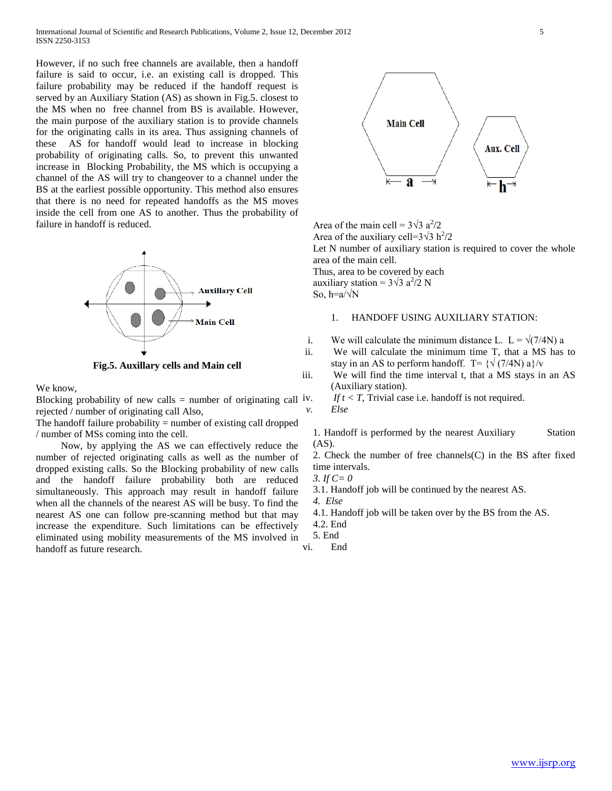However, if no such free channels are available, then a handoff failure is said to occur, i.e. an existing call is dropped. This failure probability may be reduced if the handoff request is served by an Auxiliary Station (AS) as shown in Fig.5. closest to the MS when no free channel from BS is available. However, the main purpose of the auxiliary station is to provide channels for the originating calls in its area. Thus assigning channels of these AS for handoff would lead to increase in blocking probability of originating calls. So, to prevent this unwanted increase in Blocking Probability, the MS which is occupying a channel of the AS will try to changeover to a channel under the BS at the earliest possible opportunity. This method also ensures that there is no need for repeated handoffs as the MS moves inside the cell from one AS to another. Thus the probability of failure in handoff is reduced.



**Fig.5. Auxillary cells and Main cell**

We know,

Blocking probability of new calls = number of originating call  $iv$ . rejected / number of originating call Also,

The handoff failure probability = number of existing call dropped / number of MSs coming into the cell.

 Now, by applying the AS we can effectively reduce the number of rejected originating calls as well as the number of dropped existing calls. So the Blocking probability of new calls and the handoff failure probability both are reduced simultaneously. This approach may result in handoff failure when all the channels of the nearest AS will be busy. To find the nearest AS one can follow pre-scanning method but that may increase the expenditure. Such limitations can be effectively eliminated using mobility measurements of the MS involved in handoff as future research.



Area of the main cell =  $3\sqrt{3} a^2/2$ Area of the auxiliary cell= $3\sqrt{3} h^2/2$ 

Let N number of auxiliary station is required to cover the whole area of the main cell.

Thus, area to be covered by each auxiliary station =  $3\sqrt{3} a^2/2 N$ So,  $h=a/\sqrt{N}$ 

#### 1. HANDOFF USING AUXILIARY STATION:

- i. We will calculate the minimum distance L. L =  $\sqrt{(7/4N)}$  a
- ii. We will calculate the minimum time T, that a MS has to stay in an AS to perform handoff. T=  $\{\sqrt{(7/4N)}\}a\}$ /v
- iii. We will find the time interval t, that a MS stays in an AS (Auxiliary station).

*If t < T,* Trivial case i.e. handoff is not required. *v. Else*

1. Handoff is performed by the nearest Auxiliary Station (AS).

2. Check the number of free channels(C) in the BS after fixed time intervals.

- *3. If C= 0*
- 3.1. Handoff job will be continued by the nearest AS.

*4. Else*

- 4.1. Handoff job will be taken over by the BS from the AS.
- 4.2. End

5. End

vi. End